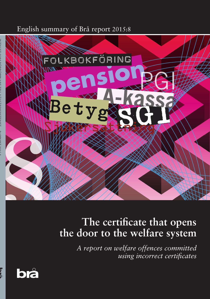English summary of Brå report 2015:8



# **The certificate that opens the door to the welfare system**

*A report on welfare offences committed using incorrect certificates*

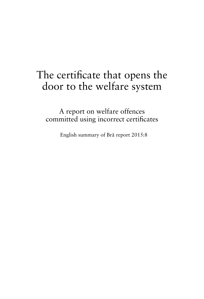## The certificate that opens the door to the welfare system

A report on welfare offences committed using incorrect certificates

English summary of Brå report 2015:8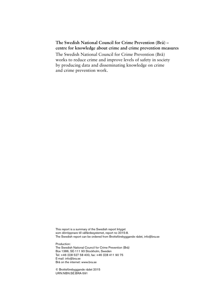#### **The Swedish National Council for Crime Prevention (Brå) – centre for knowledge about crime and crime prevention measures**

The Swedish National Council for Crime Prevention (Brå) works to reduce crime and improve levels of safety in society by producing data and disseminating knowledge on crime and crime prevention work.

This report is a summary of the Swedish report Intyget som dörröppnare till välfärdssystemet, report no 2015:8. The Swedish report can be ordered from Brottsförebyggande rådet, info@bra.se

Production: The Swedish National Council for Crime Prevention (Brå) Box 1386, SE-111 93 Stockholm, Sweden Tel: +46 (0)8 527 58 400, fax: +46 (0)8 411 90 75 E-mail: info@bra.se

Brå on the internet: www.bra.se

© Brottsförebyggande rådet 2015 URN:NBN:SE:BRA-591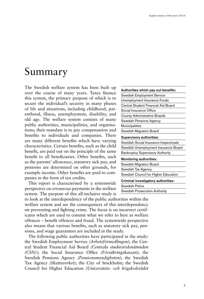## Summary

The Swedish welfare system has been built up over the course of many years. Taxes finance this system, the primary purpose of which is to secure the individual's security in many phases of life and situations, including childhood, parenthood, illness, unemployment, disability, and old age. The welfare system consists of many public authorities, municipalities, and organisations; their mandate is to pay compensation and benefits to individuals and companies. There are many different benefits which have varying characteristics. Certain benefits, such as the child benefit, are paid out on the principle of the same benefit to all beneficiaries. Other benefits, such as the parents' allowance, statutory sick pay, and pensions are determined on other grounds, for example income. Other benefits are paid to companies in the form of tax credits.

This report is characterised by a systemwide perspective on erroneous payments in the welfare system. The purpose of this all-inclusive study is

to look at the interdependency of the public authorities within the welfare system and see the consequences of this interdependency on preventing and fighting crime. The focus is on incorrect certificates which are used to commit what we refer to here as welfare offences – benefit offences and fraud. The systemwide perspective also means that various benefits, such as statutory sick pay, pensions, and wage guarantees are included in the study.

The following public authorities have participated in the study: the Swedish Employment Service *(Arbetsförmedlingen)*; the Central Student Financial Aid Board *(Centrala studiestödsnämnden (CSN))*; the Social Insurance Office *(Försäkringskassan)*; the Swedish Pensions Agency *(Pensionsmyndigheten)*; the Swedish Tax Agency *(Skatteverket)*; the City of Stockholm; the Swedish Council for Higher Education *(Universitets- och högskolerådet*

| Authorities which pay out benefits:     |
|-----------------------------------------|
| Swedish Employment Service              |
| Unemployment Insurance Funds            |
| Central Student Financial Aid Board     |
| Social Insurance Office                 |
| <b>County Administrative Boards</b>     |
| Swedish Pensions Agency                 |
| Municipalities                          |
| Swedish Migration Board                 |
| <b>Supervisory authorities:</b>         |
| Swedish Social Insurance Inspectorate   |
| Swedish Unemployment Insurance Board    |
| <b>Bankruptcy Supervisory Authority</b> |
| <b>Monitoring authorities:</b>          |
| Swedish Migration Board                 |
| Swedish Tax Agency                      |
| Swedish Council for Higher Education    |
| Criminal investigatory authorities:     |
| Swedish Police                          |
| Swedish Prosecution Authority           |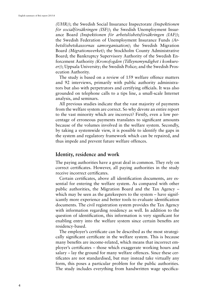*(UHR))*; the Swedish Social Insurance Inspectorate *(Inspektionen för socialförsäkringen (ISF))*; the Swedish Unemployment Insurance Board *(Inspektionen för arbetslöshetsförsäkringen (IAF))*; the Swedish Federation of Unemployment Insurance Funds *(Arbetslöshetskassornas samorganisation)*; the Swedish Migration Board *(Migrationsverket)*; the Stockholm County Administrative Board; the Bankruptcy Supervisory Authority of the Swedish Enforcement Authority *(Kronofogden (Tillsynsmyndighet i konkurser))*; Uppsala University; the Swedish Police; and the Swedish Prosecution Authority.

The study is based on a review of 159 welfare offence matters and 92 interviews, primarily with public authority administrators but also with perpetrators and certifying officials. It was also grounded on telephone calls to a tips line, a small-scale Internet analysis, and seminars.

All previous studies indicate that the vast majority of payments from the welfare system are correct. So why devote an entire report to the vast minority which are incorrect? Firstly, even a low percentage of erroneous payments translates to significant amounts because of the volumes involved in the welfare system. Secondly, by taking a systemwide view, it is possible to identify the gaps in the system and regulatory framework which can be repaired, and thus impede and prevent future welfare offences.

#### **Identity, residence and work**

The paying authorities have a great deal in common. They rely on correct certificates. However, all paying authorities in the study receive incorrect certificates.

Certain certificates, above all identification documents, are essential for entering the welfare system. As compared with other public authorities, the Migration Board and the Tax Agency – which may be seen as the gatekeepers to the system – have significantly more experience and better tools to evaluate identification documents. The civil registration system provides the Tax Agency with information regarding residency as well. In addition to the question of identification, this information is very significant for enabling entry into the welfare system since certain benefits are residency-based.

The employer's certificate can be described as the most strategically significant certificate in the welfare system. This is because many benefits are income-related, which means that incorrect employer's certificates – those which exaggerate working hours and salary – lay the ground for many welfare offences. Since these certificates are not standardised, but may instead take virtually any form, this poses a particular problem for the public authorities. The study includes everything from handwritten wage specifica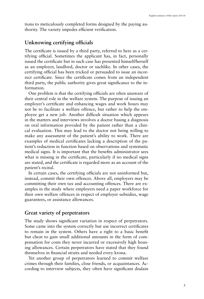tions to meticulously completed forms designed by the paying authority. The variety impedes efficient verification.

## **Unknowing certifying officials**

The certificate is issued by a third party, referred to here as a certifying official. Sometimes the applicant has, in fact, personally issued the certificate but in such case has presented himself/herself as an employer, landlord, doctor or suchlike. In other cases, the certifying official has been tricked or persuaded to issue an incorrect certificate. Since the certificate comes from an independent third party, the public authority gives great significance to the information.

One problem is that the certifying officials are often unaware of their central role in the welfare system. The purpose of issuing an employer's certificate and enhancing wages and work hours may not be to facilitate a welfare offence, but rather to help the employee get a new job. Another difficult situation which appears in the matters and interviews involves a doctor basing a diagnosis on oral information provided by the patient rather than a clinical evaluation. This may lead to the doctor not being willing to make any assessment of the patient's ability to work. There are examples of medical certificates lacking a description of the patient's reduction in function based on observations and systematic medical signs. It is important that the benefits administrator sees what is missing in the certificate, particularly if no medical signs are stated, and the certificate is regarded more as an account of the patient's recital.

In certain cases, the certifying officials are not uninformed but, instead, commit their own offences. Above all, employers may be committing their own tax and accounting offences. There are examples in the study where employers need a paper workforce for their own welfare offences in respect of employer subsidies, wage guarantees, or assistance allowances.

### **Great variety of perpetrators**

The study shows significant variation in respect of perpetrators. Some came into the system correctly but use incorrect certificates to remain in the system. Others have a right to a basic benefit but cheat to gain small additional amounts in the form of compensation for costs they never incurred or excessively high housing allowances. Certain perpetrators have stated that they found themselves in financial straits and needed every krona.

Yet another group of perpetrators learned to commit welfare crimes through their families, close friends, or acquaintances. According to interview subjects, they often have significant disdain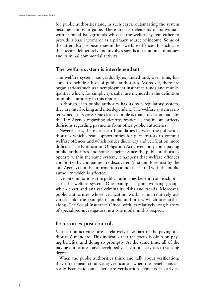for public authorities and, in such cases, outsmarting the system becomes almost a game. There are also elements of individuals with criminal backgrounds who use the welfare system either to provide a base income or as a primary source of income. Some of the latter also use businesses in their welfare offences. In such case this occurs deliberately and involves significant amounts of money and criminal commercial activity.

### **The welfare system is interdependent**

The welfare system has gradually expanded and, over time, has come to include a host of public authorities. Moreover, there are organisations such as unemployment insurance funds and municipalities which, for simplicity's sake, are included in the definition of public authority in this report.

Although each public authority has its own regulatory system, they are interlocking and interdependent. The welfare system is intertwined at its core. One clear example is that a decision made by the Tax Agency regarding identity, residence, and income affects decisions regarding payments from other public authorities.

Nevertheless, there are clear boundaries between the public authorities which create opportunities for perpetrators to commit welfare offences and which render discovery and verification more difficult. The Notification Obligation Act covers only some paying public authorities and some benefits. Since the public authorities operate within the same system, it happens that welfare offences committed by companies are discovered (first and foremost by the Tax Agency) but the information cannot be shared with the public authority which is affected.

Despite limitations, the public authorities benefit from each other in the welfare system. One example is joint working groups which chart and analyse criminality risks and trends. Moreover, public authorities whose verification work is not relatively advanced take the example of public authorities which are farther along. The Social Insurance Office, with its relatively long history of specialised investigators, is a role model in this respect.

#### **Focus on ex post controls**

Verification activities are a relatively new part of the paying authorities' mandate. This indicates that the focus is often on paying benefits, and doing so promptly. At the same time, all of the paying authorities have developed verification activities to varying degrees.

When the public authorities think and talk about verification, they often mean conducting verification when the benefit has already been paid out. There are verification elements as early as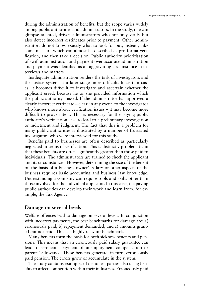during the administration of benefits, but the scope varies widely among public authorities and administrators. In the study, one can glimpse talented, driven administrators who not only verify but also detect incorrect certificates prior to payment. Other administrators do not know exactly what to look for but, instead, take some measure which can almost be described as pro forma verification, and then take a decision. Public authority prioritisation of swift administration and payment over accurate administration and payment was identified as an aggravating circumstance in interviews and matters.

Inadequate administration renders the task of investigators and the justice system at a later stage more difficult. In certain cases, it becomes difficult to investigate and ascertain whether the applicant erred, because he or she provided information which the public authority missed. If the administrator has approved a clearly incorrect certificate – clear, in any event, to the investigator who knows more about verification issues – it may become more difficult to prove intent. This is necessary for the paying public authority's verification case to lead to a preliminary investigation or indictment and judgment. The fact that this is a problem for many public authorities is illustrated by a number of frustrated investigators who were interviewed for this study.

Benefits paid to businesses are often described as particularly neglected in terms of verification. This is distinctly problematic in that these benefits are often significantly greater than those paid to individuals. The administrators are trained to check the applicant and its circumstances. However, determining the size of the benefit on the basis of a business owner's salary or other aspects of the business requires basic accounting and business law knowledge. Understanding a company can require tools and skills other than those involved for the individual applicant. In this case, the paying public authorities can develop their work and learn from, for example, the Tax Agency.

#### **Damage on several levels**

Welfare offences lead to damage on several levels. In conjunction with incorrect payments, the best benchmarks for damage are: a) erroneously paid; b) repayment demanded; and c) amounts granted but not paid. This is a highly relevant benchmark.

Many benefits form the basis for both sickness benefits and pensions. This means that an erroneously paid salary guarantee can lead to erroneous payment of unemployment compensation or parents' allowance. These benefits generate, in turn, erroneously paid pension. The errors grow or accumulate in the system.

The study contains examples of dishonest parties also using benefits to affect competition within their industries. Erroneously paid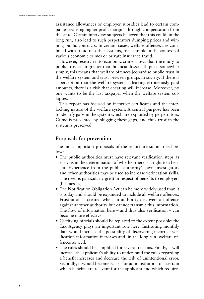assistance allowances or employer subsidies lead to certain companies realising higher profit margins through compensation from the state. Certain interview subjects believed that this could, in the long run, also lead to such perpetrators dumping prices and winning public contracts. In certain cases, welfare offences are combined with fraud on other systems, for example in the context of various economic crimes or private insurance fraud.

However, research into economic crime shows that the injury to public trust is far greater than financial losses. To put it somewhat simply, this means that welfare offences jeopardise public trust in the welfare system and trust between groups in society. If there is a perception that the welfare system is leaking erroneously paid amounts, there is a risk that cheating will increase. Moreover, no one wants to be the last taxpayer when the welfare system collapses.

This report has focused on incorrect certificates and the interlocking nature of the welfare system. A central purpose has been to identify gaps in the system which are exploited by perpetrators. Crime is prevented by plugging these gaps, and thus trust in the system is preserved.

## **Proposals for prevention**

The most important proposals of the report are summarised below:

- The public authorities must have relevant verification steps as early as in the determination of whether there is a right to a benefit. Experience from the public authority's own investigators and other authorities may be used to increase verification skills. The need is particularly great in respect of benefits to employers (businesses).
- The Notification Obligation Act can be more widely used than it is today and should be expanded to include all welfare offences. Frustration is created when an authority discovers an offence against another authority but cannot transmit this information. The flow of information here – and thus also verification – can become more effective.
- Certifying officials should be replaced to the extent possible; the Tax Agency plays an important role here. Instituting monthly data would increase the possibility of discovering incorrect verification information increases and, in the long run, welfare offences as well.
- The rules should be simplified for several reasons. Firstly, it will increase the applicant's ability to understand the rules regarding a benefit increases and decrease the risk of unintentional error. Secondly, it would become easier for administrators to ascertain which benefits are relevant for the applicant and which require-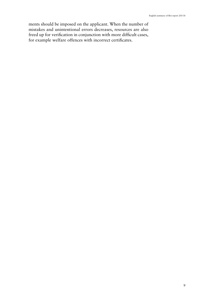ments should be imposed on the applicant. When the number of mistakes and unintentional errors decreases, resources are also freed up for verification in conjunction with more difficult cases, for example welfare offences with incorrect certificates.